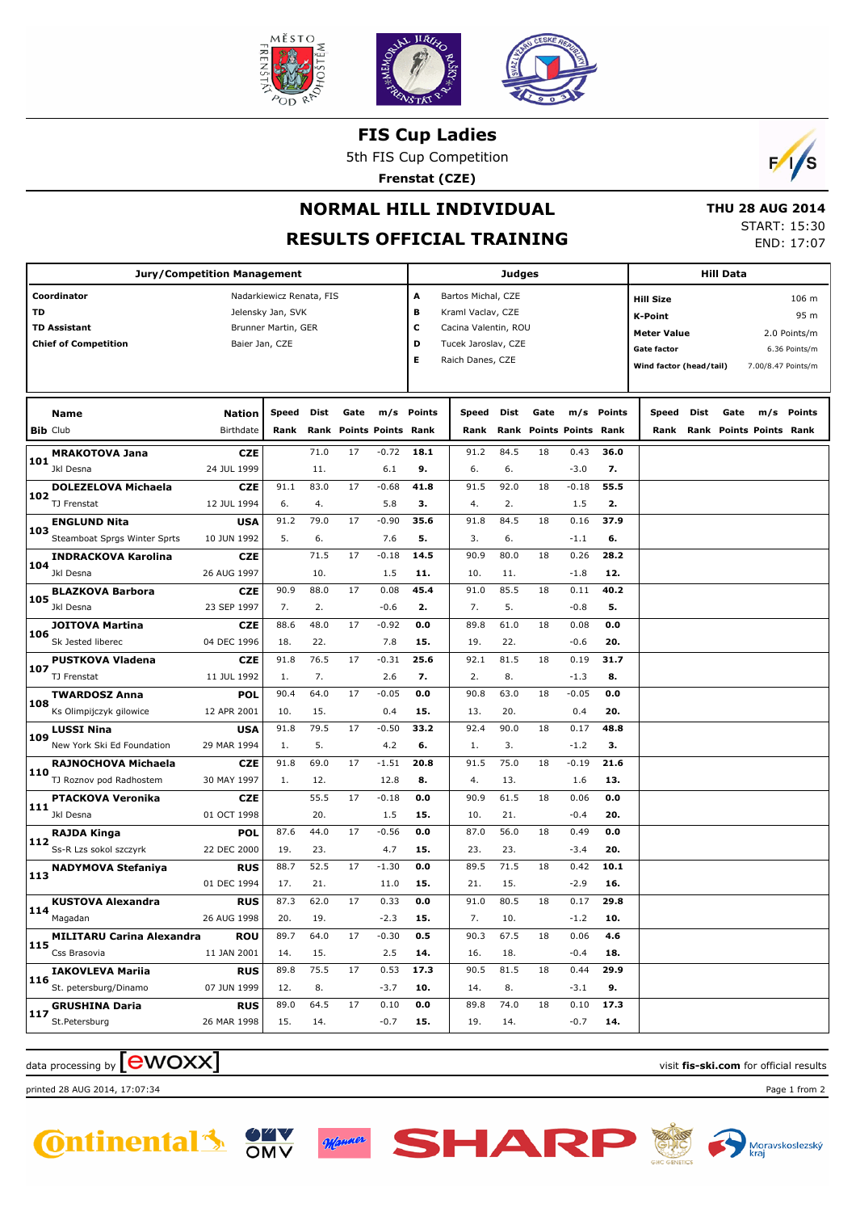

**FIS Cup Ladies**

5th FIS Cup Competition

**Frenstat (CZE)**



## **NORMAL HILL INDIVIDUAL**

## **RESULTS OFFICIAL TRAINING**

 **THU 28 AUG 2014** START: 15:30 END: 17:07

| <b>Jury/Competition Management</b>      |                |                     |      |                         |         |            | Judges                  |      |                         |         |        |                           | <b>Hill Data</b> |      |                              |               |
|-----------------------------------------|----------------|---------------------|------|-------------------------|---------|------------|-------------------------|------|-------------------------|---------|--------|---------------------------|------------------|------|------------------------------|---------------|
| Coordinator<br>Nadarkiewicz Renata, FIS |                |                     |      |                         |         |            | Α<br>Bartos Michal, CZE |      |                         |         |        | 106 m<br><b>Hill Size</b> |                  |      |                              |               |
| TD                                      |                | Jelensky Jan, SVK   |      |                         |         | в          | Kraml Vaclav, CZE       |      |                         |         |        |                           |                  |      |                              | 95 m          |
| <b>TD Assistant</b>                     |                | Brunner Martin, GER |      |                         |         | с          | Cacina Valentin, ROU    |      |                         |         |        | <b>K-Point</b>            |                  |      |                              |               |
| <b>Chief of Competition</b>             | Baier Jan, CZE |                     |      |                         |         | D          | Tucek Jaroslav, CZE     |      |                         |         |        | <b>Meter Value</b>        |                  |      |                              | 2.0 Points/m  |
|                                         |                |                     |      |                         |         | Е          | Raich Danes, CZE        |      |                         |         |        | <b>Gate factor</b>        |                  |      |                              | 6.36 Points/m |
|                                         |                |                     |      |                         |         |            |                         |      |                         |         |        | Wind factor (head/tail)   |                  |      | 7.00/8.47 Points/m           |               |
|                                         |                |                     |      |                         |         |            |                         |      |                         |         |        |                           |                  |      |                              |               |
| <b>Name</b>                             | Nation         | Speed               | Dist | Gate                    |         | m/s Points | Speed                   | Dist | Gate                    | m/s     | Points | Speed                     | Dist             | Gate | m/s                          | Points        |
| <b>Bib Club</b>                         | Birthdate      | Rank                |      | Rank Points Points Rank |         |            | Rank                    |      | Rank Points Points Rank |         |        |                           |                  |      | Rank Rank Points Points Rank |               |
| <b>MRAKOTOVA Jana</b><br>101            | <b>CZE</b>     |                     | 71.0 | 17                      | $-0.72$ | 18.1       | 91.2                    | 84.5 | 18                      | 0.43    | 36.0   |                           |                  |      |                              |               |
| Jkl Desna                               | 24 JUL 1999    |                     | 11.  |                         | 6.1     | 9.         | 6.                      | 6.   |                         | $-3.0$  | 7.     |                           |                  |      |                              |               |
| <b>DOLEZELOVA Michaela</b><br>102       | <b>CZE</b>     | 91.1                | 83.0 | 17                      | $-0.68$ | 41.8       | 91.5                    | 92.0 | 18                      | $-0.18$ | 55.5   |                           |                  |      |                              |               |
| TJ Frenstat                             | 12 JUL 1994    | 6.                  | 4.   |                         | 5.8     | з.         | 4.                      | 2.   |                         | 1.5     | 2.     |                           |                  |      |                              |               |
| <b>ENGLUND Nita</b><br>103              | USA            | 91.2                | 79.0 | 17                      | $-0.90$ | 35.6       | 91.8                    | 84.5 | 18                      | 0.16    | 37.9   |                           |                  |      |                              |               |
| Steamboat Sprgs Winter Sprts            | 10 JUN 1992    | 5.                  | 6.   |                         | 7.6     | 5.         | 3.                      | 6.   |                         | $-1.1$  | 6.     |                           |                  |      |                              |               |
| <b>INDRACKOVA Karolina</b><br>104       | <b>CZE</b>     |                     | 71.5 | 17                      | $-0.18$ | 14.5       | 90.9                    | 80.0 | 18                      | 0.26    | 28.2   |                           |                  |      |                              |               |
| Jkl Desna                               | 26 AUG 1997    |                     | 10.  |                         | 1.5     | 11.        | 10.                     | 11.  |                         | $-1.8$  | 12.    |                           |                  |      |                              |               |
| <b>BLAZKOVA Barbora</b><br>105          | <b>CZE</b>     | 90.9                | 88.0 | 17                      | 0.08    | 45.4       | 91.0                    | 85.5 | 18                      | 0.11    | 40.2   |                           |                  |      |                              |               |
| Jkl Desna                               | 23 SEP 1997    | 7.                  | 2.   |                         | $-0.6$  | 2.         | 7.                      | 5.   |                         | $-0.8$  | 5.     |                           |                  |      |                              |               |
| <b>JOITOVA Martina</b><br>106           | <b>CZE</b>     | 88.6                | 48.0 | 17                      | $-0.92$ | 0.0        | 89.8                    | 61.0 | 18                      | 0.08    | 0.0    |                           |                  |      |                              |               |
| Sk Jested liberec                       | 04 DEC 1996    | 18.                 | 22.  |                         | 7.8     | 15.        | 19.                     | 22.  |                         | $-0.6$  | 20.    |                           |                  |      |                              |               |
| <b>PUSTKOVA Vladena</b>                 | <b>CZE</b>     | 91.8                | 76.5 | 17                      | $-0.31$ | 25.6       | 92.1                    | 81.5 | 18                      | 0.19    | 31.7   |                           |                  |      |                              |               |
| 107<br>TJ Frenstat                      | 11 JUL 1992    | 1.                  | 7.   |                         | 2.6     | 7.         | 2.                      | 8.   |                         | $-1.3$  | 8.     |                           |                  |      |                              |               |
| <b>TWARDOSZ Anna</b>                    | <b>POL</b>     | 90.4                | 64.0 | 17                      | $-0.05$ | 0.0        | 90.8                    | 63.0 | 18                      | $-0.05$ | 0.0    |                           |                  |      |                              |               |
| 108<br>Ks Olimpijczyk gilowice          | 12 APR 2001    | 10.                 | 15.  |                         | 0.4     | 15.        | 13.                     | 20.  |                         | 0.4     | 20.    |                           |                  |      |                              |               |
| <b>LUSSI Nina</b>                       | USA            | 91.8                | 79.5 | 17                      | $-0.50$ | 33.2       | 92.4                    | 90.0 | 18                      | 0.17    | 48.8   |                           |                  |      |                              |               |
| 109<br>New York Ski Ed Foundation       | 29 MAR 1994    | 1.                  | 5.   |                         | 4.2     | 6.         | 1.                      | 3.   |                         | $-1.2$  | 3.     |                           |                  |      |                              |               |
| RAJNOCHOVA Michaela                     | <b>CZE</b>     | 91.8                | 69.0 | 17                      | $-1.51$ | 20.8       | 91.5                    | 75.0 | 18                      | $-0.19$ | 21.6   |                           |                  |      |                              |               |
| 110<br>TJ Roznov pod Radhostem          | 30 MAY 1997    | 1.                  | 12.  |                         | 12.8    | 8.         | 4.                      | 13.  |                         | 1.6     | 13.    |                           |                  |      |                              |               |
| <b>PTACKOVA Veronika</b>                | <b>CZE</b>     |                     | 55.5 | 17                      | $-0.18$ | 0.0        | 90.9                    | 61.5 | 18                      | 0.06    | 0.0    |                           |                  |      |                              |               |
| 111<br>Jkl Desna                        | 01 OCT 1998    |                     | 20.  |                         | 1.5     | 15.        | 10.                     | 21.  |                         | $-0.4$  | 20.    |                           |                  |      |                              |               |
| <b>RAJDA Kinga</b>                      | <b>POL</b>     | 87.6                | 44.0 | 17                      | $-0.56$ | 0.0        | 87.0                    | 56.0 | 18                      | 0.49    | 0.0    |                           |                  |      |                              |               |
| 112<br>Ss-R Lzs sokol szczyrk           | 22 DEC 2000    | 19.                 | 23.  |                         | 4.7     | 15.        | 23.                     | 23.  |                         | $-3.4$  | 20.    |                           |                  |      |                              |               |
| <b>NADYMOVA Stefaniya</b><br>113        | <b>RUS</b>     | 88.7                | 52.5 | 17                      | $-1.30$ | 0.0        | 89.5                    | 71.5 | 18                      | 0.42    | 10.1   |                           |                  |      |                              |               |
|                                         | 01 DEC 1994    | 17.                 | 21.  |                         | 11.0    | 15.        | 21.                     | 15.  |                         | $-2.9$  | 16.    |                           |                  |      |                              |               |
| <b>KUSTOVA Alexandra</b>                | <b>RUS</b>     | 87.3                | 62.0 | 17                      | 0.33    | $0.0\,$    | 91.0                    | 80.5 | 18                      | 0.17    | 29.8   |                           |                  |      |                              |               |
| $114$ Magadan                           | 26 AUG 1998    | 20.                 | 19.  |                         | $-2.3$  | 15.        | 7.                      | 10.  |                         | $-1.2$  | 10.    |                           |                  |      |                              |               |
| <b>MILITARU Carina Alexandra</b>        | <b>ROU</b>     | 89.7                | 64.0 | 17                      | $-0.30$ | 0.5        | 90.3                    | 67.5 | 18                      | 0.06    | 4.6    |                           |                  |      |                              |               |
| 115<br>Css Brasovia                     | 11 JAN 2001    | 14.                 | 15.  |                         | 2.5     | 14.        | 16.                     | 18.  |                         | $-0.4$  | 18.    |                           |                  |      |                              |               |
| <b>IAKOVLEVA Mariia</b>                 | <b>RUS</b>     | 89.8                | 75.5 | 17                      | 0.53    | 17.3       | 90.5                    | 81.5 | 18                      | 0.44    | 29.9   |                           |                  |      |                              |               |
| 116<br>St. petersburg/Dinamo            | 07 JUN 1999    | 12.                 | 8.   |                         | $-3.7$  | 10.        | 14.                     | 8.   |                         | $-3.1$  | 9.     |                           |                  |      |                              |               |
| <b>GRUSHINA Daria</b><br>117            | <b>RUS</b>     | 89.0                | 64.5 | 17                      | 0.10    | 0.0        | 89.8                    | 74.0 | 18                      | 0.10    | 17.3   |                           |                  |      |                              |               |
| St.Petersburg                           | 26 MAR 1998    | 15.                 | 14.  |                         | $-0.7$  | 15.        | 19.                     | 14.  |                         | $-0.7$  | 14.    |                           |                  |      |                              |               |

## data processing by **CWOXX** and  $\overline{C}$  and  $\overline{C}$  and  $\overline{C}$  and  $\overline{C}$  and  $\overline{C}$  and  $\overline{C}$  and  $\overline{C}$  and  $\overline{C}$  and  $\overline{C}$  and  $\overline{C}$  and  $\overline{C}$  and  $\overline{C}$  and  $\overline{C}$  and  $\overline{C}$  and  $\overline{C}$

printed 28 AUG 2014, 17:07:34 Page 1 from 2



Manner OMV